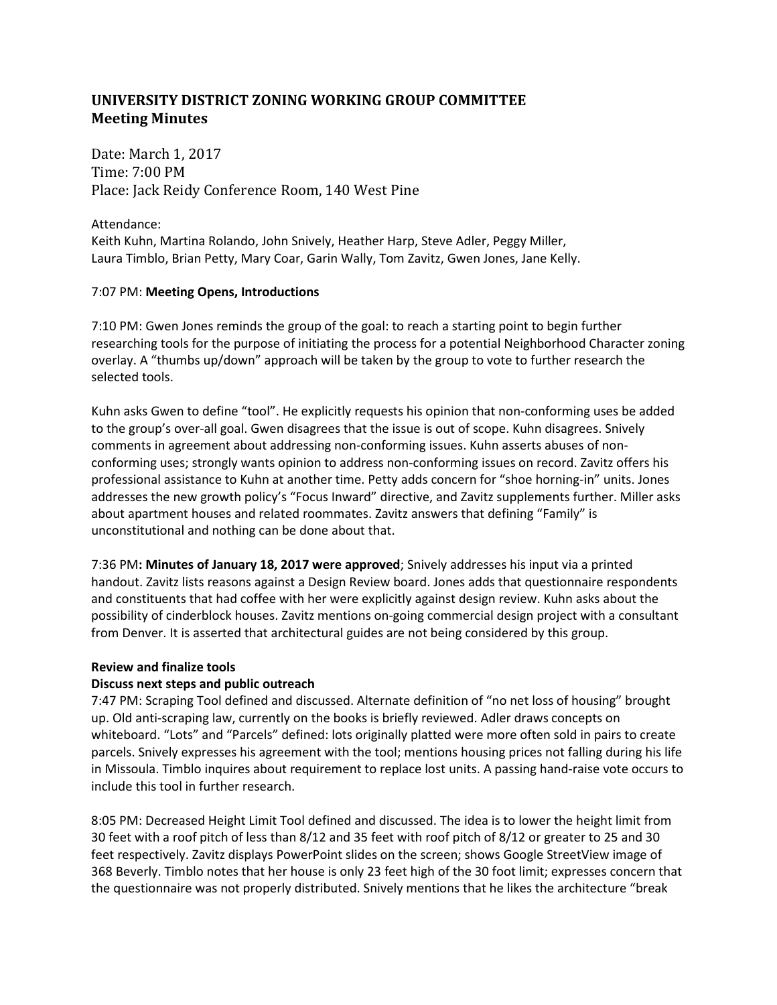# **UNIVERSITY DISTRICT ZONING WORKING GROUP COMMITTEE Meeting Minutes**

Date: March 1, 2017 Time: 7:00 PM Place: Jack Reidy Conference Room, 140 West Pine

Attendance: Keith Kuhn, Martina Rolando, John Snively, Heather Harp, Steve Adler, Peggy Miller, Laura Timblo, Brian Petty, Mary Coar, Garin Wally, Tom Zavitz, Gwen Jones, Jane Kelly.

## 7:07 PM: **Meeting Opens, Introductions**

7:10 PM: Gwen Jones reminds the group of the goal: to reach a starting point to begin further researching tools for the purpose of initiating the process for a potential Neighborhood Character zoning overlay. A "thumbs up/down" approach will be taken by the group to vote to further research the selected tools.

Kuhn asks Gwen to define "tool". He explicitly requests his opinion that non-conforming uses be added to the group's over-all goal. Gwen disagrees that the issue is out of scope. Kuhn disagrees. Snively comments in agreement about addressing non-conforming issues. Kuhn asserts abuses of nonconforming uses; strongly wants opinion to address non-conforming issues on record. Zavitz offers his professional assistance to Kuhn at another time. Petty adds concern for "shoe horning-in" units. Jones addresses the new growth policy's "Focus Inward" directive, and Zavitz supplements further. Miller asks about apartment houses and related roommates. Zavitz answers that defining "Family" is unconstitutional and nothing can be done about that.

7:36 PM**: Minutes of January 18, 2017 were approved**; Snively addresses his input via a printed handout. Zavitz lists reasons against a Design Review board. Jones adds that questionnaire respondents and constituents that had coffee with her were explicitly against design review. Kuhn asks about the possibility of cinderblock houses. Zavitz mentions on-going commercial design project with a consultant from Denver. It is asserted that architectural guides are not being considered by this group.

## **Review and finalize tools**

## **Discuss next steps and public outreach**

7:47 PM: Scraping Tool defined and discussed. Alternate definition of "no net loss of housing" brought up. Old anti-scraping law, currently on the books is briefly reviewed. Adler draws concepts on whiteboard. "Lots" and "Parcels" defined: lots originally platted were more often sold in pairs to create parcels. Snively expresses his agreement with the tool; mentions housing prices not falling during his life in Missoula. Timblo inquires about requirement to replace lost units. A passing hand-raise vote occurs to include this tool in further research.

8:05 PM: Decreased Height Limit Tool defined and discussed. The idea is to lower the height limit from 30 feet with a roof pitch of less than 8/12 and 35 feet with roof pitch of 8/12 or greater to 25 and 30 feet respectively. Zavitz displays PowerPoint slides on the screen; shows Google StreetView image of 368 Beverly. Timblo notes that her house is only 23 feet high of the 30 foot limit; expresses concern that the questionnaire was not properly distributed. Snively mentions that he likes the architecture "break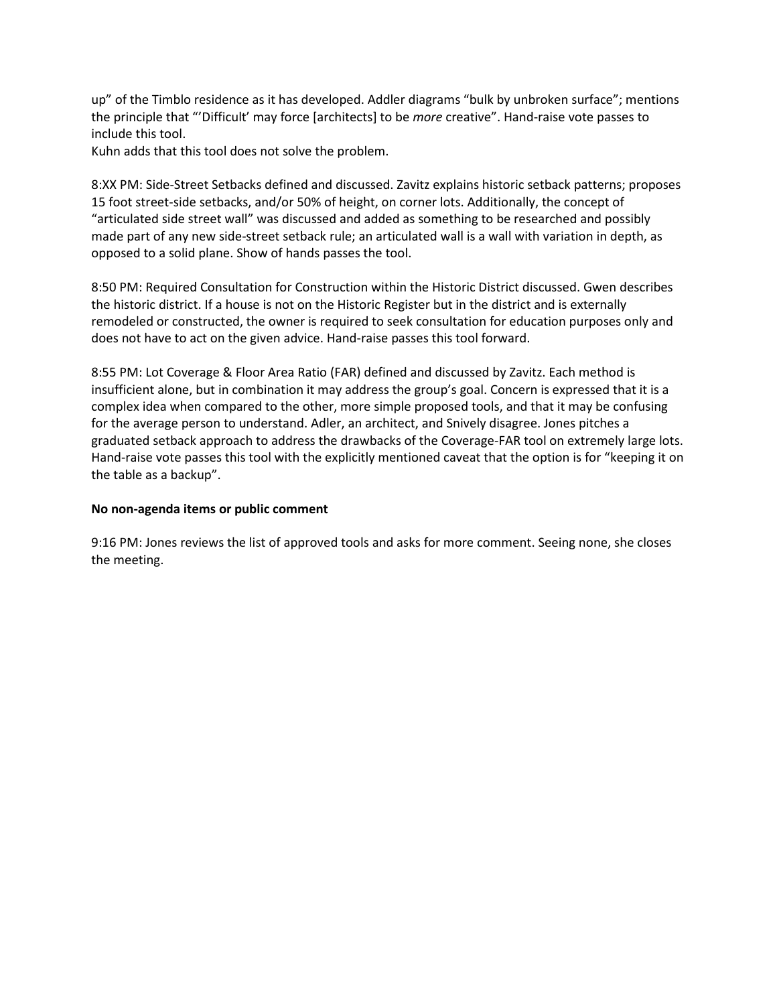up" of the Timblo residence as it has developed. Addler diagrams "bulk by unbroken surface"; mentions the principle that "'Difficult' may force [architects] to be *more* creative". Hand-raise vote passes to include this tool.

Kuhn adds that this tool does not solve the problem.

8:XX PM: Side-Street Setbacks defined and discussed. Zavitz explains historic setback patterns; proposes 15 foot street-side setbacks, and/or 50% of height, on corner lots. Additionally, the concept of "articulated side street wall" was discussed and added as something to be researched and possibly made part of any new side-street setback rule; an articulated wall is a wall with variation in depth, as opposed to a solid plane. Show of hands passes the tool.

8:50 PM: Required Consultation for Construction within the Historic District discussed. Gwen describes the historic district. If a house is not on the Historic Register but in the district and is externally remodeled or constructed, the owner is required to seek consultation for education purposes only and does not have to act on the given advice. Hand-raise passes this tool forward.

8:55 PM: Lot Coverage & Floor Area Ratio (FAR) defined and discussed by Zavitz. Each method is insufficient alone, but in combination it may address the group's goal. Concern is expressed that it is a complex idea when compared to the other, more simple proposed tools, and that it may be confusing for the average person to understand. Adler, an architect, and Snively disagree. Jones pitches a graduated setback approach to address the drawbacks of the Coverage-FAR tool on extremely large lots. Hand-raise vote passes this tool with the explicitly mentioned caveat that the option is for "keeping it on the table as a backup".

### **No non-agenda items or public comment**

9:16 PM: Jones reviews the list of approved tools and asks for more comment. Seeing none, she closes the meeting.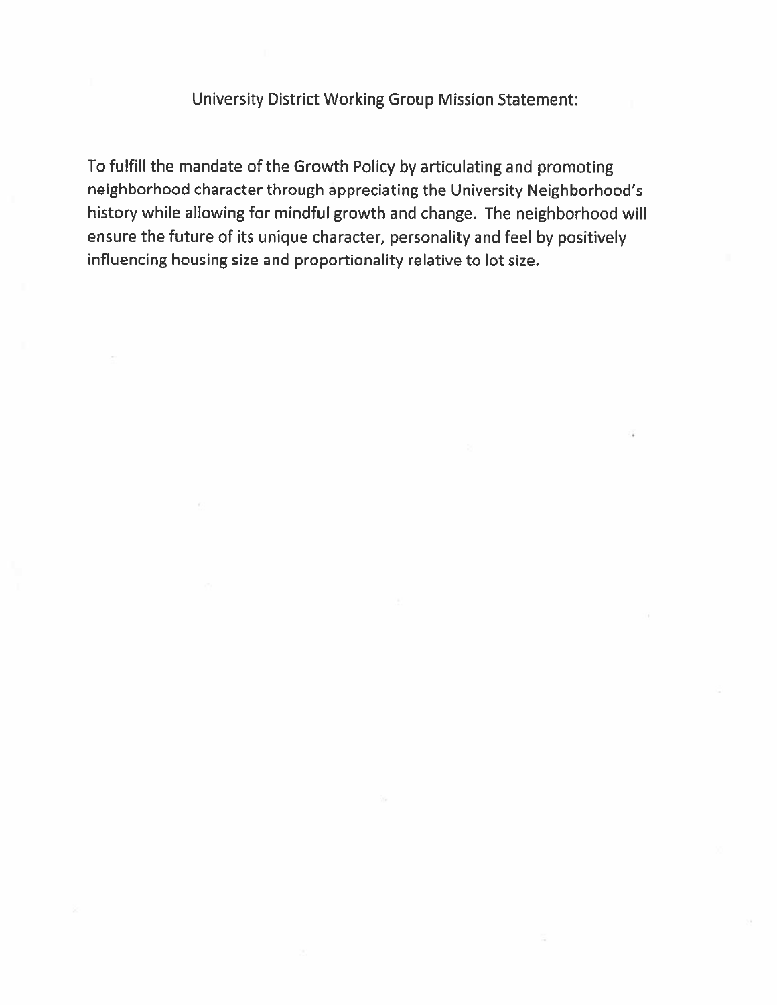University District Working Group Mission Statement:

To fulfill the mandate of the Growth Policy by articulating and promoting neighborhood character through appreciating the University Neighborhood's history while allowing for mindful growth and change. The neighborhood will ensure the future of its unique character, personality and feel by positively influencing housing size and proportionality relative to lot size.